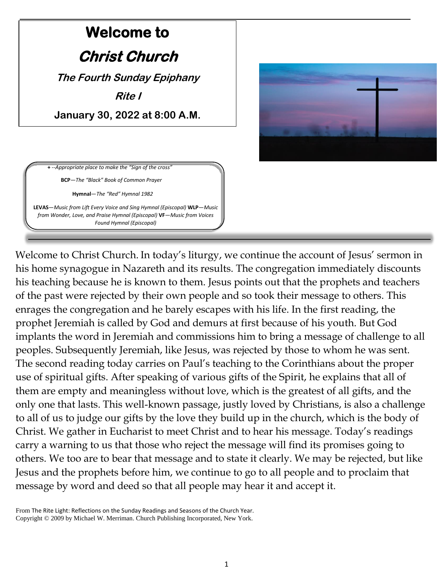## **Welcome to Christ Church The Fourth Sunday Epiphany Rite I January 30, 2022 at 8:00 A.M.**



**+** --*Appropriate place to make the "Sign of the cross"* **BCP**—*The "Black" Book of Common Prayer* **Hymnal**—*The "Red" Hymnal 1982* **LEVAS**—*Music from Lift Every Voice and Sing Hymnal (Episcopal)* **WLP**—*Music from Wonder, Love, and Praise Hymnal (Episcopal)* **VF***—Music from Voices Found Hymnal (Episcopal)*

Welcome to Christ Church. In today's liturgy, we continue the account of Jesus' sermon in his home synagogue in Nazareth and its results. The congregation immediately discounts his teaching because he is known to them. Jesus points out that the prophets and teachers of the past were rejected by their own people and so took their message to others. This enrages the congregation and he barely escapes with his life. In the first reading, the prophet Jeremiah is called by God and demurs at first because of his youth. But God implants the word in Jeremiah and commissions him to bring a message of challenge to all peoples. Subsequently Jeremiah, like Jesus, was rejected by those to whom he was sent. The second reading today carries on Paul's teaching to the Corinthians about the proper use of spiritual gifts. After speaking of various gifts of the Spirit, he explains that all of them are empty and meaningless without love, which is the greatest of all gifts, and the only one that lasts. This well-known passage, justly loved by Christians, is also a challenge to all of us to judge our gifts by the love they build up in the church, which is the body of Christ. We gather in Eucharist to meet Christ and to hear his message. Today's readings carry a warning to us that those who reject the message will find its promises going to others. We too are to bear that message and to state it clearly. We may be rejected, but like Jesus and the prophets before him, we continue to go to all people and to proclaim that message by word and deed so that all people may hear it and accept it.

From The Rite Light: Reflections on the Sunday Readings and Seasons of the Church Year. Copyright © 2009 by Michael W. Merriman. Church Publishing Incorporated, New York.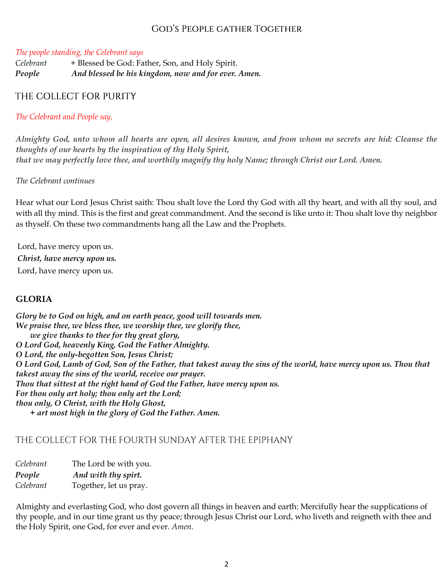### **GOD'S PEOPLE GATHER TOGETHER**

#### *The people standing, the Celebrant says*

*Celebrant +* Blessed be God: Father, Son, and Holy Spirit. *People And blessed be his kingdom, now and for ever. Amen.* 

#### THE COLLECT FOR PURITY

#### *The Celebrant and People say,*

*Almighty God, unto whom all hearts are open, all desires known, and from whom no secrets are hid: Cleanse the thoughts of our hearts by the inspiration of thy Holy Spirit, that we may perfectly love thee, and worthily magnify thy holy Name; through Christ our Lord. Amen.*

*The Celebrant continues*

Hear what our Lord Jesus Christ saith: Thou shalt love the Lord thy God with all thy heart, and with all thy soul, and with all thy mind. This is the first and great commandment. And the second is like unto it: Thou shalt love thy neighbor as thyself. On these two commandments hang all the Law and the Prophets.

Lord, have mercy upon us.

*Christ, have mercy upon us.*

Lord, have mercy upon us.

#### **GLORIA**

*Glory be to God on high, and on earth peace, good will towards men. We praise thee, we bless thee, we worship thee, we glorify thee, we give thanks to thee for thy great glory, O Lord God, heavenly King, God the Father Almighty. O Lord, the only-begotten Son, Jesus Christ; O Lord God, Lamb of God, Son of the Father, that takest away the sins of the world, have mercy upon us. Thou that takest away the sins of the world, receive our prayer. Thou that sittest at the right hand of God the Father, have mercy upon us. For thou only art holy; thou only art the Lord; thou only, O Christ, with the Holy Ghost, + art most high in the glory of God the Father. Amen.*

## THE COLLECT FOR THE FOURTH SUNDAY AFTER THE EPIPHANY

| Celebrant | The Lord be with you.<br>And with thy spirt.<br>Together, let us pray. |  |
|-----------|------------------------------------------------------------------------|--|
| People    |                                                                        |  |
| Celebrant |                                                                        |  |

Almighty and everlasting God, who dost govern all things in heaven and earth: Mercifully hear the supplications of thy people, and in our time grant us thy peace; through Jesus Christ our Lord, who liveth and reigneth with thee and the Holy Spirit, one God, for ever and ever. *Amen.*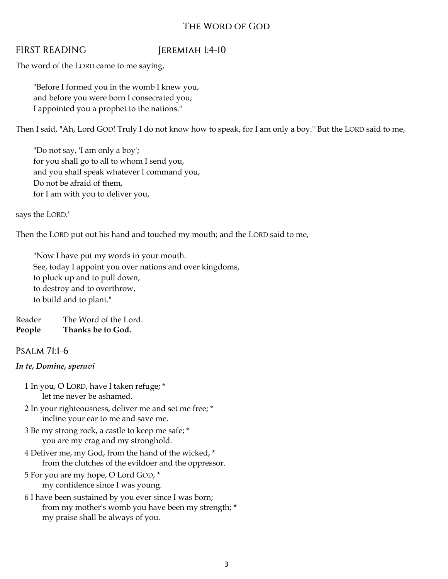### THE WORD OF GOD

#### **FIRST READING**

#### JEREMIAH 1:4-10

The word of the LORD came to me saying,

"Before I formed you in the womb I knew you, and before you were born I consecrated you; I appointed you a prophet to the nations."

Then I said, "Ah, Lord GOD! Truly I do not know how to speak, for I am only a boy." But the LORD said to me,

"Do not say, 'I am only a boy'; for you shall go to all to whom I send you, and you shall speak whatever I command you, Do not be afraid of them, for I am with you to deliver you,

says the LORD."

Then the LORD put out his hand and touched my mouth; and the LORD said to me,

"Now I have put my words in your mouth. See, today I appoint you over nations and over kingdoms, to pluck up and to pull down, to destroy and to overthrow, to build and to plant."

Reader The Word of the Lord. **People Thanks be to God.** 

#### **PSALM 71:1-6**

#### *In te, Domine, speravi*

- 1 In you, O LORD, have I taken refuge; \* let me never be ashamed.
- 2 In your righteousness, deliver me and set me free; \* incline your ear to me and save me.
- 3 Be my strong rock, a castle to keep me safe; \* you are my crag and my stronghold.
- 4 Deliver me, my God, from the hand of the wicked, \* from the clutches of the evildoer and the oppressor.
- 5 For you are my hope, O Lord GOD, \* my confidence since I was young.
- 6 I have been sustained by you ever since I was born; from my mother's womb you have been my strength; \* my praise shall be always of you.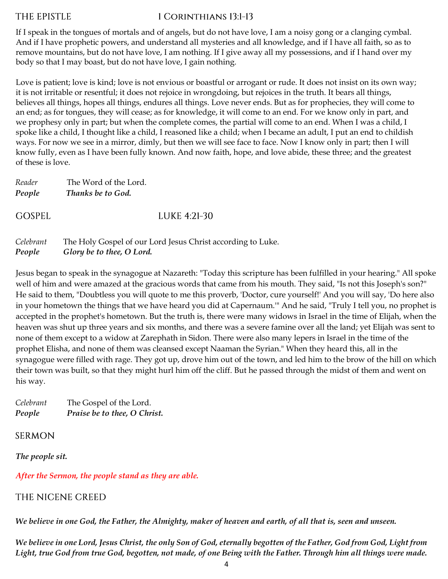## THE EPISTLE

## 1 CORINTHIANS 13:1-13

If I speak in the tongues of mortals and of angels, but do not have love, I am a noisy gong or a clanging cymbal. And if I have prophetic powers, and understand all mysteries and all knowledge, and if I have all faith, so as to remove mountains, but do not have love, I am nothing. If I give away all my possessions, and if I hand over my body so that I may boast, but do not have love, I gain nothing.

Love is patient; love is kind; love is not envious or boastful or arrogant or rude. It does not insist on its own way; it is not irritable or resentful; it does not rejoice in wrongdoing, but rejoices in the truth. It bears all things, believes all things, hopes all things, endures all things. Love never ends. But as for prophecies, they will come to an end; as for tongues, they will cease; as for knowledge, it will come to an end. For we know only in part, and we prophesy only in part; but when the complete comes, the partial will come to an end. When I was a child, I spoke like a child, I thought like a child, I reasoned like a child; when I became an adult, I put an end to childish ways. For now we see in a mirror, dimly, but then we will see face to face. Now I know only in part; then I will know fully, even as I have been fully known. And now faith, hope, and love abide, these three; and the greatest of these is love.

| Reader | The Word of the Lord. |
|--------|-----------------------|
| People | Thanks be to God.     |
|        |                       |

**GOSPEL** LUKE 4:21-30

*Celebrant* The Holy Gospel of our Lord Jesus Christ according to Luke. *People Glory be to thee, O Lord.* 

Jesus began to speak in the synagogue at Nazareth: "Today this scripture has been fulfilled in your hearing." All spoke well of him and were amazed at the gracious words that came from his mouth. They said, "Is not this Joseph's son?" He said to them, "Doubtless you will quote to me this proverb, 'Doctor, cure yourself!' And you will say, 'Do here also in your hometown the things that we have heard you did at Capernaum.'" And he said, "Truly I tell you, no prophet is accepted in the prophet's hometown. But the truth is, there were many widows in Israel in the time of Elijah, when the heaven was shut up three years and six months, and there was a severe famine over all the land; yet Elijah was sent to none of them except to a widow at Zarephath in Sidon. There were also many lepers in Israel in the time of the prophet Elisha, and none of them was cleansed except Naaman the Syrian." When they heard this, all in the synagogue were filled with rage. They got up, drove him out of the town, and led him to the brow of the hill on which their town was built, so that they might hurl him off the cliff. But he passed through the midst of them and went on his way.

| Celebrant | The Gospel of the Lord.      |
|-----------|------------------------------|
| People    | Praise be to thee, O Christ. |

## **SERMON**

*The people sit.* 

*After the Sermon, the people stand as they are able.* 

## THE NICENE CREED

*We believe in one God, the Father, the Almighty, maker of heaven and earth, of all that is, seen and unseen.* 

*We believe in one Lord, Jesus Christ, the only Son of God, eternally begotten of the Father, God from God, Light from Light, true God from true God, begotten, not made, of one Being with the Father. Through him all things were made.*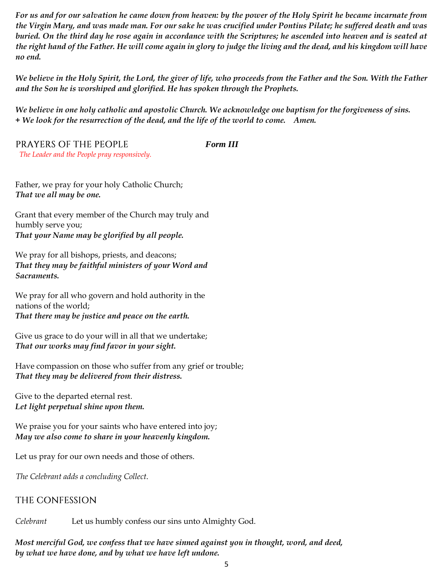*For us and for our salvation he came down from heaven: by the power of the Holy Spirit he became incarnate from the Virgin Mary, and was made man. For our sake he was crucified under Pontius Pilate; he suffered death and was buried. On the third day he rose again in accordance with the Scriptures; he ascended into heaven and is seated at the right hand of the Father. He will come again in glory to judge the living and the dead, and his kingdom will have no end.* 

*We believe in the Holy Spirit, the Lord, the giver of life, who proceeds from the Father and the Son. With the Father and the Son he is worshiped and glorified. He has spoken through the Prophets.* 

*We believe in one holy catholic and apostolic Church. We acknowledge one baptism for the forgiveness of sins. + We look for the resurrection of the dead, and the life of the world to come. Amen.* 

PRAYERS OF THE PEOPLE *The Leader and the People pray responsively.*  *Form III*

Father, we pray for your holy Catholic Church; *That we all may be one.*

Grant that every member of the Church may truly and humbly serve you; *That your Name may be glorified by all people.*

We pray for all bishops, priests, and deacons; *That they may be faithful ministers of your Word and Sacraments.*

We pray for all who govern and hold authority in the nations of the world; *That there may be justice and peace on the earth.*

Give us grace to do your will in all that we undertake; *That our works may find favor in your sight.*

Have compassion on those who suffer from any grief or trouble; *That they may be delivered from their distress.*

Give to the departed eternal rest. *Let light perpetual shine upon them.*

We praise you for your saints who have entered into joy; *May we also come to share in your heavenly kingdom.*

Let us pray for our own needs and those of others.

*The Celebrant adds a concluding Collect*.

## THE CONFESSION

*Celebrant* Let us humbly confess our sins unto Almighty God.

*Most merciful God, we confess that we have sinned against you in thought, word, and deed, by what we have done, and by what we have left undone.*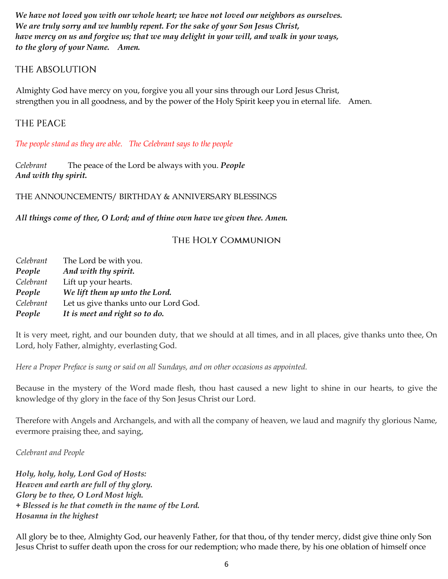*We have not loved you with our whole heart; we have not loved our neighbors as ourselves. We are truly sorry and we humbly repent. For the sake of your Son Jesus Christ, have mercy on us and forgive us; that we may delight in your will, and walk in your ways, to the glory of your Name. Amen.*

## THE ABSOLUTION

Almighty God have mercy on you, forgive you all your sins through our Lord Jesus Christ, strengthen you in all goodness, and by the power of the Holy Spirit keep you in eternal life. Amen.

## THE PEACE

*The people stand as they are able. The Celebrant says to the people* 

*Celebrant* The peace of the Lord be always with you. *People And with thy spirit.* 

THE ANNOUNCEMENTS/ BIRTHDAY & ANNIVERSARY BLESSINGS

*All things come of thee, O Lord; and of thine own have we given thee. Amen.* 

## THE HOLY COMMUNION

| Celebrant | The Lord be with you.                 |
|-----------|---------------------------------------|
| People    | And with thy spirit.                  |
| Celebrant | Lift up your hearts.                  |
| People    | We lift them up unto the Lord.        |
| Celebrant | Let us give thanks unto our Lord God. |
| People    | It is meet and right so to do.        |

It is very meet, right, and our bounden duty, that we should at all times, and in all places, give thanks unto thee, On Lord, holy Father, almighty, everlasting God.

*Here a Proper Preface is sung or said on all Sundays, and on other occasions as appointed.*

Because in the mystery of the Word made flesh, thou hast caused a new light to shine in our hearts, to give the knowledge of thy glory in the face of thy Son Jesus Christ our Lord.

Therefore with Angels and Archangels, and with all the company of heaven, we laud and magnify thy glorious Name, evermore praising thee, and saying,

*Celebrant and People*

*Holy, holy, holy, Lord God of Hosts: Heaven and earth are full of thy glory. Glory be to thee, O Lord Most high. + Blessed is he that cometh in the name of tbe Lord. Hosanna in the highest*

All glory be to thee, Almighty God, our heavenly Father, for that thou, of thy tender mercy, didst give thine only Son Jesus Christ to suffer death upon the cross for our redemption; who made there, by his one oblation of himself once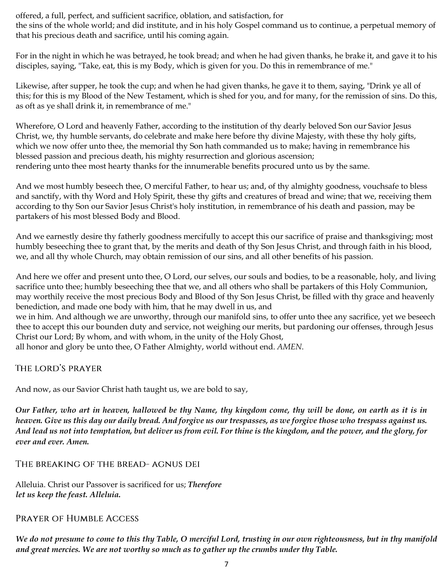offered, a full, perfect, and sufficient sacrifice, oblation, and satisfaction, for the sins of the whole world; and did institute, and in his holy Gospel command us to continue, a perpetual memory of that his precious death and sacrifice, until his coming again.

For in the night in which he was betrayed, he took bread; and when he had given thanks, he brake it, and gave it to his disciples, saying, "Take, eat, this is my Body, which is given for you. Do this in remembrance of me."

Likewise, after supper, he took the cup; and when he had given thanks, he gave it to them, saying, "Drink ye all of this; for this is my Blood of the New Testament, which is shed for you, and for many, for the remission of sins. Do this, as oft as ye shall drink it, in remembrance of me."

Wherefore, O Lord and heavenly Father, according to the institution of thy dearly beloved Son our Savior Jesus Christ, we, thy humble servants, do celebrate and make here before thy divine Majesty, with these thy holy gifts, which we now offer unto thee, the memorial thy Son hath commanded us to make; having in remembrance his blessed passion and precious death, his mighty resurrection and glorious ascension; rendering unto thee most hearty thanks for the innumerable benefits procured unto us by the same.

And we most humbly beseech thee, O merciful Father, to hear us; and, of thy almighty goodness, vouchsafe to bless and sanctify, with thy Word and Holy Spirit, these thy gifts and creatures of bread and wine; that we, receiving them according to thy Son our Savior Jesus Christ's holy institution, in remembrance of his death and passion, may be partakers of his most blessed Body and Blood.

And we earnestly desire thy fatherly goodness mercifully to accept this our sacrifice of praise and thanksgiving; most humbly beseeching thee to grant that, by the merits and death of thy Son Jesus Christ, and through faith in his blood, we, and all thy whole Church, may obtain remission of our sins, and all other benefits of his passion.

And here we offer and present unto thee, O Lord, our selves, our souls and bodies, to be a reasonable, holy, and living sacrifice unto thee; humbly beseeching thee that we, and all others who shall be partakers of this Holy Communion, may worthily receive the most precious Body and Blood of thy Son Jesus Christ, be filled with thy grace and heavenly benediction, and made one body with him, that he may dwell in us, and

we in him. And although we are unworthy, through our manifold sins, to offer unto thee any sacrifice, yet we beseech thee to accept this our bounden duty and service, not weighing our merits, but pardoning our offenses, through Jesus Christ our Lord; By whom, and with whom, in the unity of the Holy Ghost,

all honor and glory be unto thee, O Father Almighty, world without end. *AMEN*.

THE LORD'S PRAYER

And now, as our Savior Christ hath taught us, we are bold to say,

*Our Father, who art in heaven, hallowed be thy Name, thy kingdom come, thy will be done, on earth as it is in heaven. Give us this day our daily bread. And forgive us our trespasses, as we forgive those who trespass against us. And lead us not into temptation, but deliver us from evil. For thine is the kingdom, and the power, and the glory, for ever and ever. Amen.* 

## The breaking of the bread- agnus dei

Alleluia. Christ our Passover is sacrificed for us; *Therefore let us keep the feast. Alleluia.* 

## **PRAYER OF HUMBLE ACCESS**

*We do not presume to come to this thy Table, O merciful Lord, trusting in our own righteousness, but in thy manifold and great mercies. We are not worthy so much as to gather up the crumbs under thy Table.*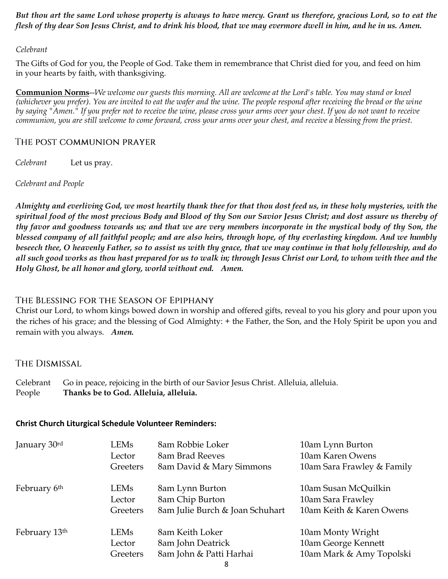*But thou art the same Lord whose property is always to have mercy. Grant us therefore, gracious Lord, so to eat the flesh of thy dear Son Jesus Christ, and to drink his blood, that we may evermore dwell in him, and he in us. Amen.*

#### *Celebrant*

The Gifts of God for you, the People of God. Take them in remembrance that Christ died for you, and feed on him in your hearts by faith, with thanksgiving.

**Communion Norms**--*We welcome our guests this morning. All are welcome at the Lord's table. You may stand or kneel (whichever you prefer). You are invited to eat the wafer and the wine. The people respond after receiving the bread or the wine by saying "Amen." If you prefer not to receive the wine, please cross your arms over your chest. If you do not want to receive communion, you are still welcome to come forward, cross your arms over your chest, and receive a blessing from the priest.* 

#### THE POST COMMUNION PRAYER

*Celebrant* Let us pray.

*Celebrant and People*

*Almighty and everliving God, we most heartily thank thee for that thou dost feed us, in these holy mysteries, with the spiritual food of the most precious Body and Blood of thy Son our Savior Jesus Christ; and dost assure us thereby of thy favor and goodness towards us; and that we are very members incorporate in the mystical body of thy Son, the blessed company of all faithful people; and are also heirs, through hope, of thy everlasting kingdom. And we humbly beseech thee, O heavenly Father, so to assist us with thy grace, that we may continue in that holy fellowship, and do all such good works as thou hast prepared for us to walk in; through Jesus Christ our Lord, to whom with thee and the Holy Ghost, be all honor and glory, world without end. Amen.*

#### THE BLESSING FOR THE SEASON OF EPIPHANY

Christ our Lord, to whom kings bowed down in worship and offered gifts, reveal to you his glory and pour upon you the riches of his grace; and the blessing of God Almighty: + the Father, the Son, and the Holy Spirit be upon you and remain with you always. *Amen.*

THE DISMISSAL

Celebrant Go in peace, rejoicing in the birth of our Savior Jesus Christ. Alleluia, alleluia. People **Thanks be to God. Alleluia, alleluia.**

#### **Christ Church Liturgical Schedule Volunteer Reminders:**

| January 30rd              | LEMs     | 8am Robbie Loker                | 10am Lynn Burton           |
|---------------------------|----------|---------------------------------|----------------------------|
|                           | Lector   | 8am Brad Reeves                 | 10am Karen Owens           |
|                           | Greeters | 8am David & Mary Simmons        | 10am Sara Frawley & Family |
| February 6 <sup>th</sup>  | LEMs     | 8am Lynn Burton                 | 10am Susan McQuilkin       |
|                           | Lector   | 8am Chip Burton                 | 10am Sara Frawley          |
|                           | Greeters | 8am Julie Burch & Joan Schuhart | 10am Keith & Karen Owens   |
| February 13 <sup>th</sup> | LEMs     | 8am Keith Loker                 | 10am Monty Wright          |
|                           | Lector   | 8am John Deatrick               | 10am George Kennett        |
|                           | Greeters | 8am John & Patti Harhai         | 10am Mark & Amy Topolski   |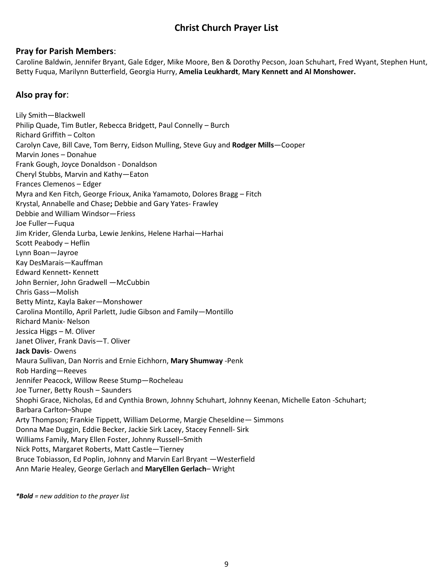## **Christ Church Prayer List**

#### **Pray for Parish Members**:

Caroline Baldwin, Jennifer Bryant, Gale Edger, Mike Moore, Ben & Dorothy Pecson, Joan Schuhart, Fred Wyant, Stephen Hunt, Betty Fuqua, Marilynn Butterfield, Georgia Hurry, **Amelia Leukhardt**, **Mary Kennett and Al Monshower.**

#### **Also pray for**:

Lily Smith—Blackwell Philip Quade, Tim Butler, Rebecca Bridgett, Paul Connelly – Burch Richard Griffith – Colton Carolyn Cave, Bill Cave, Tom Berry, Eidson Mulling, Steve Guy and **Rodger Mills**—Cooper Marvin Jones – Donahue Frank Gough, Joyce Donaldson - Donaldson Cheryl Stubbs, Marvin and Kathy—Eaton Frances Clemenos – Edger Myra and Ken Fitch, George Frioux, Anika Yamamoto, Dolores Bragg – Fitch Krystal, Annabelle and Chase**;** Debbie and Gary Yates- Frawley Debbie and William Windsor—Friess Joe Fuller—Fuqua Jim Krider, Glenda Lurba, Lewie Jenkins, Helene Harhai—Harhai Scott Peabody – Heflin Lynn Boan—Jayroe Kay DesMarais—Kauffman Edward Kennett**-** Kennett John Bernier, John Gradwell —McCubbin Chris Gass—Molish Betty Mintz, Kayla Baker—Monshower Carolina Montillo, April Parlett, Judie Gibson and Family—Montillo Richard Manix- Nelson Jessica Higgs – M. Oliver Janet Oliver, Frank Davis—T. Oliver **Jack Davis**- Owens Maura Sullivan, Dan Norris and Ernie Eichhorn, **Mary Shumway** -Penk Rob Harding—Reeves Jennifer Peacock, Willow Reese Stump—Rocheleau Joe Turner, Betty Roush – Saunders Shophi Grace, Nicholas, Ed and Cynthia Brown, Johnny Schuhart, Johnny Keenan, Michelle Eaton -Schuhart; Barbara Carlton–Shupe Arty Thompson; Frankie Tippett, William DeLorme, Margie Cheseldine— Simmons Donna Mae Duggin, Eddie Becker, Jackie Sirk Lacey, Stacey Fennell- Sirk Williams Family, Mary Ellen Foster, Johnny Russell–Smith Nick Potts, Margaret Roberts, Matt Castle—Tierney Bruce Tobiasson, Ed Poplin, Johnny and Marvin Earl Bryant —Westerfield Ann Marie Healey, George Gerlach and **MaryEllen Gerlach**– Wright

*\*Bold = new addition to the prayer list*